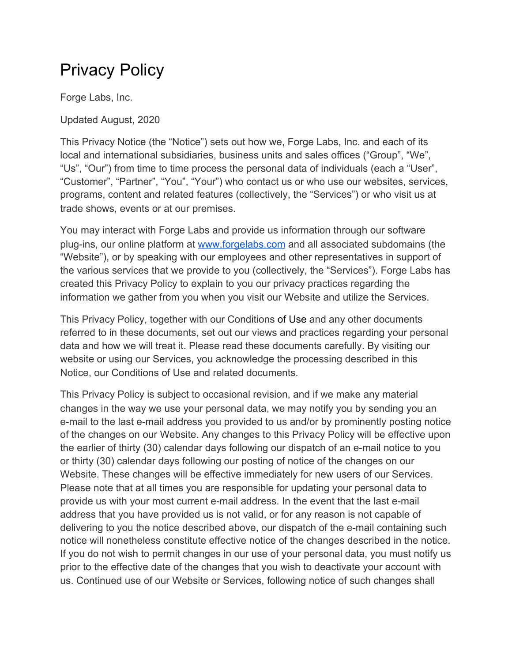# Privacy Policy

Forge Labs, Inc.

Updated August, 2020

This Privacy Notice (the "Notice") sets out how we, Forge Labs, Inc. and each of its local and international subsidiaries, business units and sales offices ("Group", "We", "Us", "Our") from time to time process the personal data of individuals (each a "User", "Customer", "Partner", "You", "Your") who contact us or who use our websites, services, programs, content and related features (collectively, the "Services") or who visit us at trade shows, events or at our premises.

You may interact with Forge Labs and provide us information through our software plug-ins, our online platform at [www.forgelabs.com](http://www.forgelabs.com/) and all associated subdomains (the "Website"), or by speaking with our employees and other representatives in support of the various services that we provide to you (collectively, the "Services"). Forge Labs has created this Privacy Policy to explain to you our privacy practices regarding the information we gather from you when you visit our Website and utilize the Services.

This Privacy Policy, together with our Conditions of Use and any other documents referred to in these documents, set out our views and practices regarding your personal data and how we will treat it. Please read these documents carefully. By visiting our website or using our Services, you acknowledge the processing described in this Notice, our Conditions of Use and related documents.

This Privacy Policy is subject to occasional revision, and if we make any material changes in the way we use your personal data, we may notify you by sending you an e-mail to the last e-mail address you provided to us and/or by prominently posting notice of the changes on our Website. Any changes to this Privacy Policy will be effective upon the earlier of thirty (30) calendar days following our dispatch of an e-mail notice to you or thirty (30) calendar days following our posting of notice of the changes on our Website. These changes will be effective immediately for new users of our Services. Please note that at all times you are responsible for updating your personal data to provide us with your most current e-mail address. In the event that the last e-mail address that you have provided us is not valid, or for any reason is not capable of delivering to you the notice described above, our dispatch of the e-mail containing such notice will nonetheless constitute effective notice of the changes described in the notice. If you do not wish to permit changes in our use of your personal data, you must notify us prior to the effective date of the changes that you wish to deactivate your account with us. Continued use of our Website or Services, following notice of such changes shall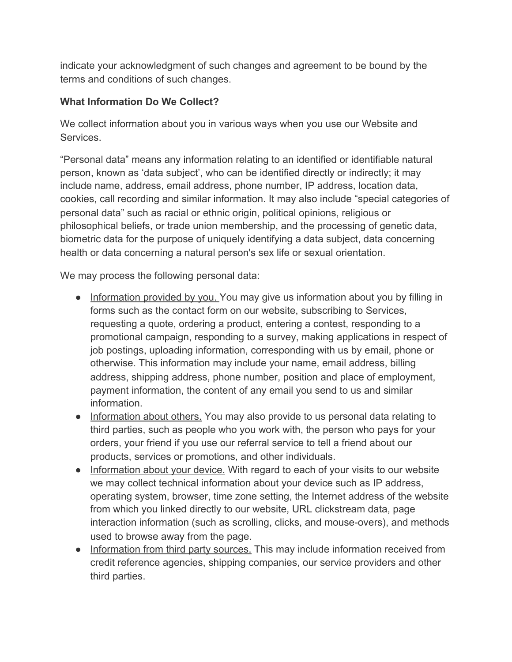indicate your acknowledgment of such changes and agreement to be bound by the terms and conditions of such changes.

## **What Information Do We Collect?**

We collect information about you in various ways when you use our Website and Services.

"Personal data" means any information relating to an identified or identifiable natural person, known as 'data subject', who can be identified directly or indirectly; it may include name, address, email address, phone number, IP address, location data, cookies, call recording and similar information. It may also include "special categories of personal data" such as racial or ethnic origin, political opinions, religious or philosophical beliefs, or trade union membership, and the processing of genetic data, biometric data for the purpose of uniquely identifying a data subject, data concerning health or data concerning a natural person's sex life or sexual orientation.

We may process the following personal data:

- Information provided by you. You may give us information about you by filling in forms such as the contact form on our website, subscribing to Services, requesting a quote, ordering a product, entering a contest, responding to a promotional campaign, responding to a survey, making applications in respect of job postings, uploading information, corresponding with us by email, phone or otherwise. This information may include your name, email address, billing address, shipping address, phone number, position and place of employment, payment information, the content of any email you send to us and similar information.
- Information about others. You may also provide to us personal data relating to third parties, such as people who you work with, the person who pays for your orders, your friend if you use our referral service to tell a friend about our products, services or promotions, and other individuals.
- Information about your device. With regard to each of your visits to our website we may collect technical information about your device such as IP address, operating system, browser, time zone setting, the Internet address of the website from which you linked directly to our website, URL clickstream data, page interaction information (such as scrolling, clicks, and mouse-overs), and methods used to browse away from the page.
- Information from third party sources. This may include information received from credit reference agencies, shipping companies, our service providers and other third parties.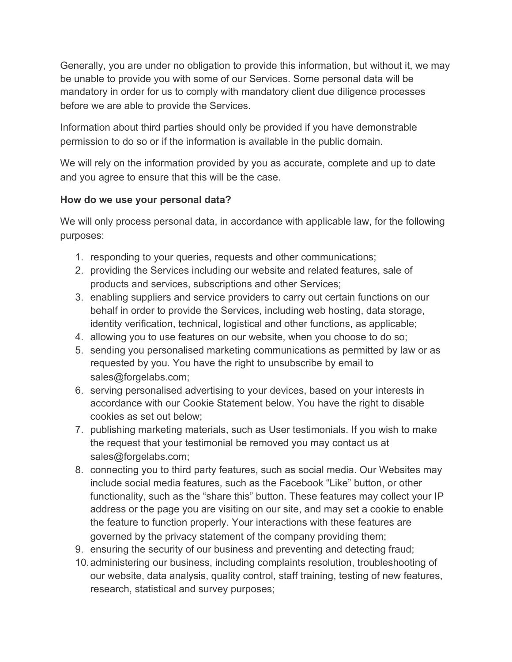Generally, you are under no obligation to provide this information, but without it, we may be unable to provide you with some of our Services. Some personal data will be mandatory in order for us to comply with mandatory client due diligence processes before we are able to provide the Services.

Information about third parties should only be provided if you have demonstrable permission to do so or if the information is available in the public domain.

We will rely on the information provided by you as accurate, complete and up to date and you agree to ensure that this will be the case.

## **How do we use your personal data?**

We will only process personal data, in accordance with applicable law, for the following purposes:

- 1. responding to your queries, requests and other communications;
- 2. providing the Services including our website and related features, sale of products and services, subscriptions and other Services;
- 3. enabling suppliers and service providers to carry out certain functions on our behalf in order to provide the Services, including web hosting, data storage, identity verification, technical, logistical and other functions, as applicable;
- 4. allowing you to use features on our website, when you choose to do so;
- 5. sending you personalised marketing communications as permitted by law or as requested by you. You have the right to unsubscribe by email to sales@forgelabs.com;
- 6. serving personalised advertising to your devices, based on your interests in accordance with our Cookie Statement below. You have the right to disable cookies as set out below;
- 7. publishing marketing materials, such as User testimonials. If you wish to make the request that your testimonial be removed you may contact us at sales@forgelabs.com;
- 8. connecting you to third party features, such as social media. Our Websites may include social media features, such as the Facebook "Like" button, or other functionality, such as the "share this" button. These features may collect your IP address or the page you are visiting on our site, and may set a cookie to enable the feature to function properly. Your interactions with these features are governed by the privacy statement of the company providing them;
- 9. ensuring the security of our business and preventing and detecting fraud;
- 10.administering our business, including complaints resolution, troubleshooting of our website, data analysis, quality control, staff training, testing of new features, research, statistical and survey purposes;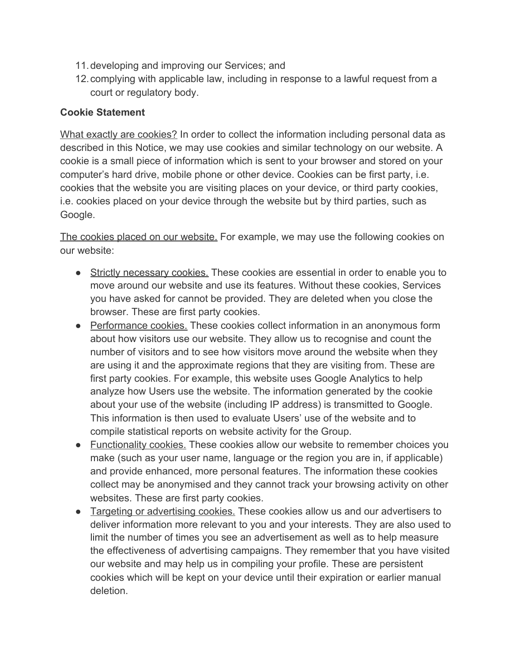- 11.developing and improving our Services; and
- 12.complying with applicable law, including in response to a lawful request from a court or regulatory body.

#### **Cookie Statement**

What exactly are cookies? In order to collect the information including personal data as described in this Notice, we may use cookies and similar technology on our website. A cookie is a small piece of information which is sent to your browser and stored on your computer's hard drive, mobile phone or other device. Cookies can be first party, i.e. cookies that the website you are visiting places on your device, or third party cookies, i.e. cookies placed on your device through the website but by third parties, such as Google.

The cookies placed on our website. For example, we may use the following cookies on our website:

- Strictly necessary cookies. These cookies are essential in order to enable you to move around our website and use its features. Without these cookies, Services you have asked for cannot be provided. They are deleted when you close the browser. These are first party cookies.
- Performance cookies. These cookies collect information in an anonymous form about how visitors use our website. They allow us to recognise and count the number of visitors and to see how visitors move around the website when they are using it and the approximate regions that they are visiting from. These are first party cookies. For example, this website uses Google Analytics to help analyze how Users use the website. The information generated by the cookie about your use of the website (including IP address) is transmitted to Google. This information is then used to evaluate Users' use of the website and to compile statistical reports on website activity for the Group.
- Functionality cookies. These cookies allow our website to remember choices you make (such as your user name, language or the region you are in, if applicable) and provide enhanced, more personal features. The information these cookies collect may be anonymised and they cannot track your browsing activity on other websites. These are first party cookies.
- Targeting or advertising cookies. These cookies allow us and our advertisers to deliver information more relevant to you and your interests. They are also used to limit the number of times you see an advertisement as well as to help measure the effectiveness of advertising campaigns. They remember that you have visited our website and may help us in compiling your profile. These are persistent cookies which will be kept on your device until their expiration or earlier manual deletion.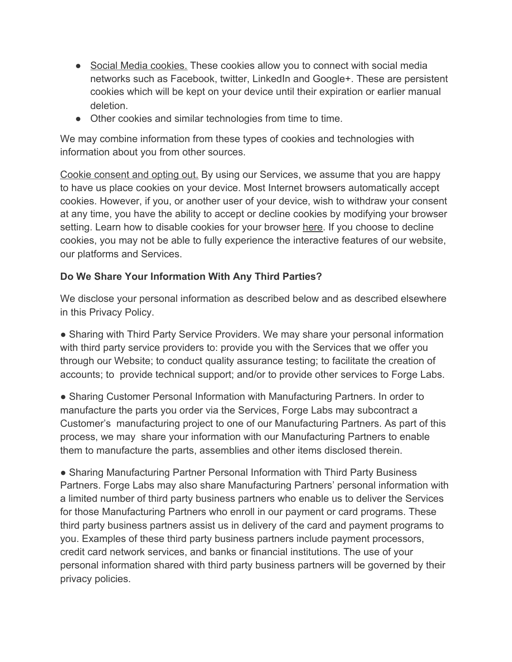- Social Media cookies. These cookies allow you to connect with social media networks such as Facebook, twitter, LinkedIn and Google+. These are persistent cookies which will be kept on your device until their expiration or earlier manual deletion.
- Other cookies and similar technologies from time to time.

We may combine information from these types of cookies and technologies with information about you from other sources.

Cookie consent and opting out. By using our Services, we assume that you are happy to have us place cookies on your device. Most Internet browsers automatically accept cookies. However, if you, or another user of your device, wish to withdraw your consent at any time, you have the ability to accept or decline cookies by modifying your browser setting. Learn how to disable cookies for your browser [here](http://www.wikihow.com/Disable-Cookies). If you choose to decline cookies, you may not be able to fully experience the interactive features of our website, our platforms and Services.

## **Do We Share Your Information With Any Third Parties?**

We disclose your personal information as described below and as described elsewhere in this Privacy Policy.

• Sharing with Third Party Service Providers. We may share your personal information with third party service providers to: provide you with the Services that we offer you through our Website; to conduct quality assurance testing; to facilitate the creation of accounts; to provide technical support; and/or to provide other services to Forge Labs.

● Sharing Customer Personal Information with Manufacturing Partners. In order to manufacture the parts you order via the Services, Forge Labs may subcontract a Customer's manufacturing project to one of our Manufacturing Partners. As part of this process, we may share your information with our Manufacturing Partners to enable them to manufacture the parts, assemblies and other items disclosed therein.

● Sharing Manufacturing Partner Personal Information with Third Party Business Partners. Forge Labs may also share Manufacturing Partners' personal information with a limited number of third party business partners who enable us to deliver the Services for those Manufacturing Partners who enroll in our payment or card programs. These third party business partners assist us in delivery of the card and payment programs to you. Examples of these third party business partners include payment processors, credit card network services, and banks or financial institutions. The use of your personal information shared with third party business partners will be governed by their privacy policies.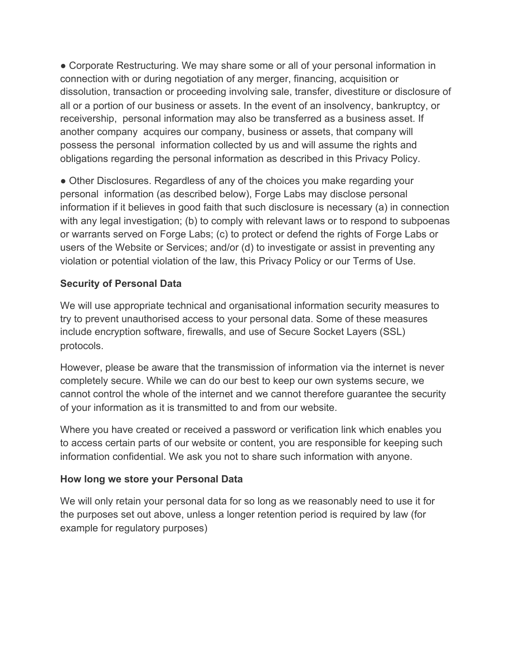• Corporate Restructuring. We may share some or all of your personal information in connection with or during negotiation of any merger, financing, acquisition or dissolution, transaction or proceeding involving sale, transfer, divestiture or disclosure of all or a portion of our business or assets. In the event of an insolvency, bankruptcy, or receivership, personal information may also be transferred as a business asset. If another company acquires our company, business or assets, that company will possess the personal information collected by us and will assume the rights and obligations regarding the personal information as described in this Privacy Policy.

• Other Disclosures. Regardless of any of the choices you make regarding your personal information (as described below), Forge Labs may disclose personal information if it believes in good faith that such disclosure is necessary (a) in connection with any legal investigation; (b) to comply with relevant laws or to respond to subpoenas or warrants served on Forge Labs; (c) to protect or defend the rights of Forge Labs or users of the Website or Services; and/or (d) to investigate or assist in preventing any violation or potential violation of the law, this Privacy Policy or our Terms of Use.

## **Security of Personal Data**

We will use appropriate technical and organisational information security measures to try to prevent unauthorised access to your personal data. Some of these measures include encryption software, firewalls, and use of Secure Socket Layers (SSL) protocols.

However, please be aware that the transmission of information via the internet is never completely secure. While we can do our best to keep our own systems secure, we cannot control the whole of the internet and we cannot therefore guarantee the security of your information as it is transmitted to and from our website.

Where you have created or received a password or verification link which enables you to access certain parts of our website or content, you are responsible for keeping such information confidential. We ask you not to share such information with anyone.

## **How long we store your Personal Data**

We will only retain your personal data for so long as we reasonably need to use it for the purposes set out above, unless a longer retention period is required by law (for example for regulatory purposes)